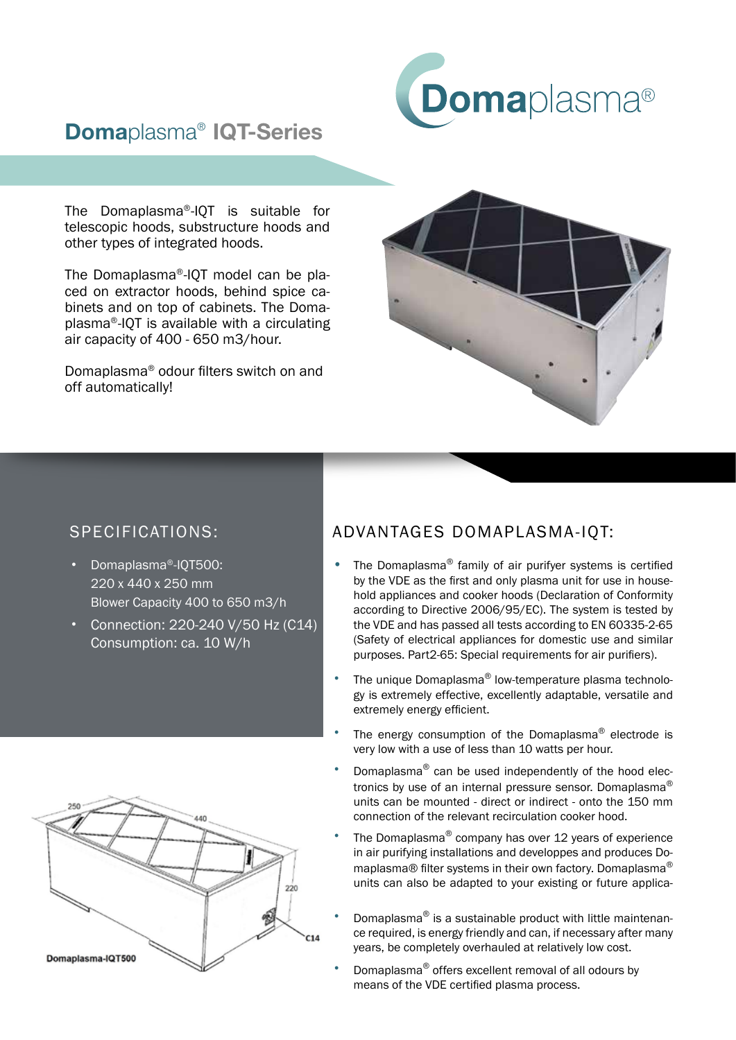

## Domaplasma® IQT-Series

The Domaplasma®-IQT is suitable for telescopic hoods, substructure hoods and other types of integrated hoods.

The Domaplasma®-IQT model can be placed on extractor hoods, behind spice cabinets and on top of cabinets. The Domaplasma®-IQT is available with a circulating air capacity of 400 - 650 m3/hour.

Domaplasma® odour filters switch on and off automatically!



## SPECIFICATIONS:

- Domaplasma®-IQT500: 220 x 440 x 250 mm Blower Capacity 400 to 650 m3/h
- Connection: 220-240 V/50 Hz (C14) Consumption: ca. 10 W/h



## ADVANTAGES DOMAPLASMA-IQT:

- The Domaplasma<sup>®</sup> family of air purifyer systems is certified by the VDE as the first and only plasma unit for use in household appliances and cooker hoods (Declaration of Conformity according to Directive 2006/95/EC). The system is tested by the VDE and has passed all tests according to EN 60335-2-65 (Safety of electrical appliances for domestic use and similar purposes. Part2-65: Special requirements for air purifiers).
- The unique Domaplasma® low-temperature plasma technology is extremely effective, excellently adaptable, versatile and extremely energy efficient.
- The energy consumption of the Domaplasma<sup>®</sup> electrode is very low with a use of less than 10 watts per hour.
- Domaplasma® can be used independently of the hood electronics by use of an internal pressure sensor. Domaplasma<sup>®</sup> units can be mounted - direct or indirect - onto the 150 mm connection of the relevant recirculation cooker hood.
- The Domaplasma<sup>®</sup> company has over 12 years of experience in air purifying installations and developpes and produces Domaplasma® filter systems in their own factory. Domaplasma® units can also be adapted to your existing or future applica-
- Domaplasma® is a sustainable product with little maintenance required, is energy friendly and can, if necessary after many years, be completely overhauled at relatively low cost.
- Domaplasma® offers excellent removal of all odours by means of the VDE certified plasma process.